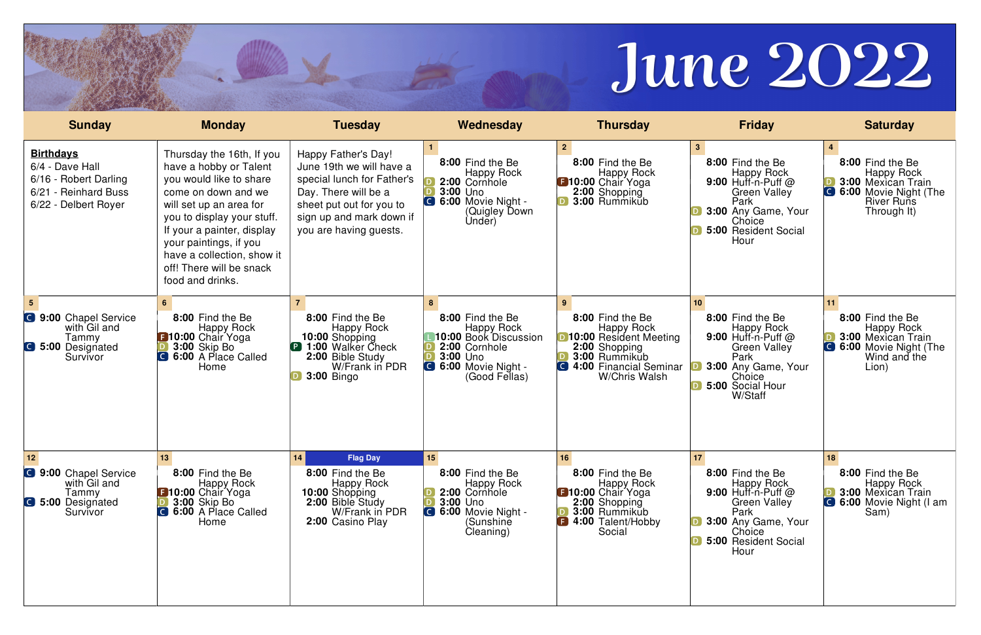| <b>Sunday</b>                                                                                                   | <b>Monday</b>                                                                                                                                                                                                                                                                                        | <b>Tuesday</b>                                                                                                                                                                          | Wednesday                                                                                                                          | <b>Thursday</b>                                                                                                                                       | <b>Friday</b>                                                                                                                                                                     | <b>Saturday</b>                                                                                                          |
|-----------------------------------------------------------------------------------------------------------------|------------------------------------------------------------------------------------------------------------------------------------------------------------------------------------------------------------------------------------------------------------------------------------------------------|-----------------------------------------------------------------------------------------------------------------------------------------------------------------------------------------|------------------------------------------------------------------------------------------------------------------------------------|-------------------------------------------------------------------------------------------------------------------------------------------------------|-----------------------------------------------------------------------------------------------------------------------------------------------------------------------------------|--------------------------------------------------------------------------------------------------------------------------|
| <b>Birthdays</b><br>6/4 - Dave Hall<br>6/16 - Robert Darling<br>- Reinhard Buss<br>6/21<br>6/22 - Delbert Royer | Thursday the 16th, If you<br>have a hobby or Talent<br>you would like to share<br>come on down and we<br>will set up an area for<br>you to display your stuff.<br>If your a painter, display<br>your paintings, if you<br>have a collection, show it<br>off! There will be snack<br>food and drinks. | Happy Father's Day!<br>June 19th we will have a<br>special lunch for Father's<br>Day. There will be a<br>sheet put out for you to<br>sign up and mark down if<br>you are having guests. | 8:00 Find the Be<br>Happy Rock<br>2:00 Cornhole<br>3:00 Uno<br>6:00 Movie Night -<br>(Quigley Down<br>Under)                       | 8:00 Find the Be<br><b>Happy Rock</b><br><b>B</b> 10:00 Chair Yoga<br>2:00 Shopping<br>3:00 Rummikub                                                  | 3 <sup>1</sup><br>8:00 Find the Be<br>Happy Rock<br>9:00 Huff-n-Puff @<br><b>Green Valley</b><br>Park<br>3:00 Any Game, Your<br>Choice<br>5:00 Resident Social<br>Hour            | 8:00 Find the Be<br>Happy Rock<br>3:00 Mexican Train<br><b>6:00 Movie Night (The</b><br><b>River Runs</b><br>Through It) |
| <b>C</b> 9:00 Chapel Service<br>with Gil and<br>Tammy<br><b>6</b> 5:00 Designated<br>Survivor                   | 8:00 Find the Be<br><b>Happy Rock</b><br><b>B</b> 10:00 Chair Yoga<br><b>3:00 Skip Bo</b><br>6:00 A Place Called<br>Home                                                                                                                                                                             | 8:00 Find the Be<br>Happy Rock<br>10:00 Shopping<br><b>P</b> 1:00 Walker Check<br>2:00 Bible Study<br>W/Frank in PDR<br><b>3:00 Bingo</b>                                               | 8:00 Find the Be<br><b>Happy Rock</b><br>10:00 Book Discussion<br>2:00 Cornhole<br>3:00 Uno<br>6:00 Movie Night -<br>(Good Fellas) | 8:00 Find the Be<br>Happy Rock<br>10:00 Resident Meeting<br>2:00 Shopping<br>3:00 Rummikub<br><b>C</b> 4:00 Financial Seminar<br><b>W/Chris Walsh</b> | 10 <sub>1</sub><br>8:00 Find the Be<br><b>Happy Rock</b><br>$9:00$ Huff-n-Puff $@$<br><b>Green Valley</b><br>Park<br>3:00 Any Game, Your<br>Choice<br>5:00 Social Hour<br>W/Staff | 8:00 Find the Be<br><b>Happy Rock</b><br>3:00 Mexican Train<br>6:00 Movie Night (The<br>Wind and the<br>Lion).           |
| 12 <br><b>3:00 Chapel Service</b><br>with Gil and<br>Tammy<br><b>C</b> 5:00 Designated<br>Survivor              | 13<br>8:00 Find the Be<br><b>Happy Rock</b><br><b>E</b> 10:00 Chair Yoga<br><b>3:00 Skip Bo</b><br><b>C</b> 6:00 A Place Called<br>Home                                                                                                                                                              | <b>Flag Day</b><br>14<br>8:00 Find the Be<br>Happy Rock<br>10:00 Shopping<br>2:00 Bible Study<br>W/Frank in PDR<br>2:00 Casino Play                                                     | 15<br>8:00 Find the Be<br>Happy Rock<br>2:00 Cornhole<br>3:00 Uno<br><b>C</b> 6:00 Movie Night -<br>(Sunshine<br>Cleaning)         | 16<br>8:00 Find the Be<br><b>Happy Rock</b><br><b>B10:00 Chair Yoga</b><br>2:00 Shopping<br>3:00 Rummikub<br><b>B</b> 4:00 Talent/Hobby<br>Social     | 17 <sub>2</sub><br>8:00 Find the Be<br><b>Happy Rock</b><br>9:00 Huff-n-Puff $@$<br><b>Green Valley</b><br>Park<br>3:00 Any Game, Your<br>Choice<br>5:00 Resident Social<br>Hour  | 18<br>8:00 Find the Be<br><b>Happy Rock</b><br><b>3:00 Mexican Train</b><br><b>C</b> 6:00 Movie Night (I am<br>Sam)      |